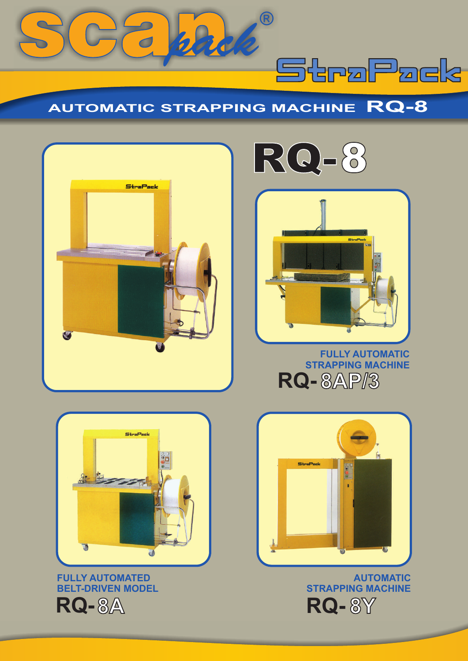





*pack*®

**AUTOMATIC STRAPPING MACHINE RQ-8**



StraPack



**FULLY AUTOMATIC STRAPPING MACHINE RQ- 8AP/3**



**AUTOMATIC STRAPPING MACHINE RQ- 8Y**